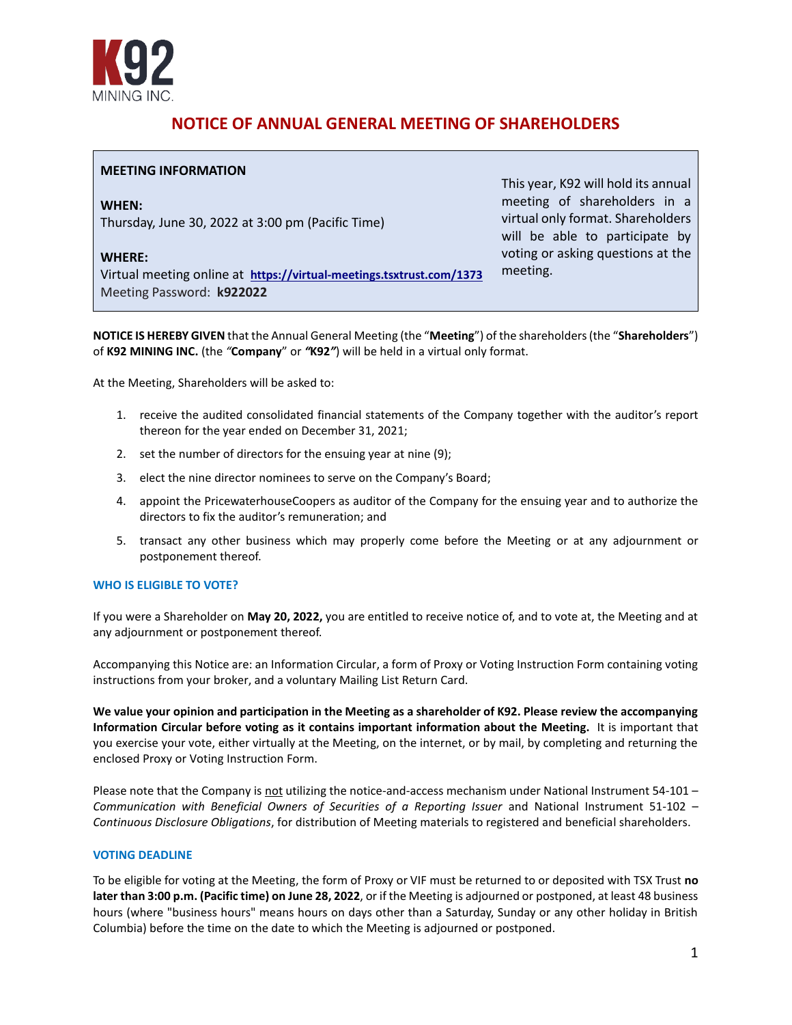

# **NOTICE OF ANNUAL GENERAL MEETING OF SHAREHOLDERS**

# **MEETING INFORMATION**

**WHEN:** Thursday, June 30, 2022 at 3:00 pm (Pacific Time)

#### **WHERE:**

Virtual meeting online at **<https://virtual-meetings.tsxtrust.com/1373>** Meeting Password: **k922022**

This year, K92 will hold its annual meeting of shareholders in a virtual only format. Shareholders will be able to participate by voting or asking questions at the meeting.

**NOTICE IS HEREBY GIVEN** that the Annual General Meeting (the "**Meeting**") of the shareholders (the "**Shareholders**") of **K92 MINING INC.** (the *"***Company**" or *"***K92***"*) will be held in a virtual only format.

At the Meeting, Shareholders will be asked to:

- 1. receive the audited consolidated financial statements of the Company together with the auditor's report thereon for the year ended on December 31, 2021;
- 2. set the number of directors for the ensuing year at nine (9);
- 3. elect the nine director nominees to serve on the Company's Board;
- 4. appoint the PricewaterhouseCoopers as auditor of the Company for the ensuing year and to authorize the directors to fix the auditor's remuneration; and
- 5. transact any other business which may properly come before the Meeting or at any adjournment or postponement thereof.

#### **WHO IS ELIGIBLE TO VOTE?**

If you were a Shareholder on **May 20, 2022,** you are entitled to receive notice of, and to vote at, the Meeting and at any adjournment or postponement thereof.

Accompanying this Notice are: an Information Circular, a form of Proxy or Voting Instruction Form containing voting instructions from your broker, and a voluntary Mailing List Return Card.

**We value your opinion and participation in the Meeting as a shareholder of K92. Please review the accompanying Information Circular before voting as it contains important information about the Meeting.** It is important that you exercise your vote, either virtually at the Meeting, on the internet, or by mail, by completing and returning the enclosed Proxy or Voting Instruction Form.

Please note that the Company is not utilizing the notice-and-access mechanism under National Instrument 54-101 -*Communication with Beneficial Owners of Securities of a Reporting Issuer* and National Instrument 51-102 – *Continuous Disclosure Obligations*, for distribution of Meeting materials to registered and beneficial shareholders.

## **VOTING DEADLINE**

To be eligible for voting at the Meeting, the form of Proxy or VIF must be returned to or deposited with TSX Trust **no later than 3:00 p.m. (Pacific time) on June 28, 2022**, or if the Meeting is adjourned or postponed, at least 48 business hours (where "business hours" means hours on days other than a Saturday, Sunday or any other holiday in British Columbia) before the time on the date to which the Meeting is adjourned or postponed.